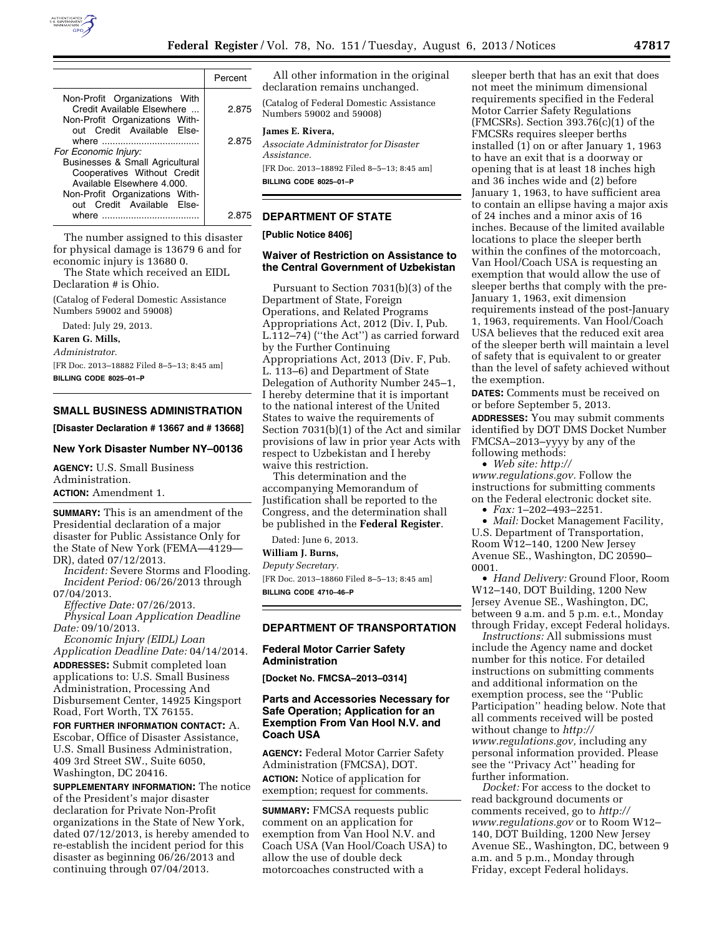

|                                                                                                                                                                                      | Percent |
|--------------------------------------------------------------------------------------------------------------------------------------------------------------------------------------|---------|
| Non-Profit Organizations With<br>Credit Available Elsewhere<br>Non-Profit Organizations With-<br>out Credit Available Else-                                                          | 2.875   |
|                                                                                                                                                                                      | 2.875   |
| For Economic Injury:<br>Businesses & Small Agricultural<br>Cooperatives Without Credit<br>Available Elsewhere 4.000.<br>Non-Profit Organizations With-<br>out Credit Available Else- |         |
|                                                                                                                                                                                      | 2 R7    |

The number assigned to this disaster for physical damage is 13679 6 and for economic injury is 13680 0. The State which received an EIDL

Declaration # is Ohio.

(Catalog of Federal Domestic Assistance Numbers 59002 and 59008)

Dated: July 29, 2013.

**Karen G. Mills,** 

*Administrator.* 

[FR Doc. 2013–18882 Filed 8–5–13; 8:45 am] **BILLING CODE 8025–01–P** 

## **SMALL BUSINESS ADMINISTRATION**

**[Disaster Declaration # 13667 and # 13668]** 

# **New York Disaster Number NY–00136**

**AGENCY:** U.S. Small Business Administration. **ACTION:** Amendment 1.

**SUMMARY:** This is an amendment of the Presidential declaration of a major disaster for Public Assistance Only for the State of New York (FEMA—4129— DR), dated 07/12/2013.

*Incident:* Severe Storms and Flooding. *Incident Period:* 06/26/2013 through 07/04/2013.

*Effective Date:* 07/26/2013. *Physical Loan Application Deadline Date:* 09/10/2013.

*Economic Injury (EIDL) Loan Application Deadline Date:* 04/14/2014. **ADDRESSES:** Submit completed loan applications to: U.S. Small Business Administration, Processing And Disbursement Center, 14925 Kingsport Road, Fort Worth, TX 76155.

**FOR FURTHER INFORMATION CONTACT:** A. Escobar, Office of Disaster Assistance, U.S. Small Business Administration, 409 3rd Street SW., Suite 6050, Washington, DC 20416.

**SUPPLEMENTARY INFORMATION:** The notice of the President's major disaster declaration for Private Non-Profit organizations in the State of New York, dated 07/12/2013, is hereby amended to re-establish the incident period for this disaster as beginning 06/26/2013 and continuing through 07/04/2013.

All other information in the original declaration remains unchanged.

(Catalog of Federal Domestic Assistance Numbers 59002 and 59008)

# **James E. Rivera,**

*Associate Administrator for Disaster Assistance.*  [FR Doc. 2013–18892 Filed 8–5–13; 8:45 am] **BILLING CODE 8025–01–P** 

### **DEPARTMENT OF STATE**

**[Public Notice 8406]** 

### **Waiver of Restriction on Assistance to the Central Government of Uzbekistan**

Pursuant to Section 7031(b)(3) of the Department of State, Foreign Operations, and Related Programs Appropriations Act, 2012 (Div. I, Pub. L.112–74) (''the Act'') as carried forward by the Further Continuing Appropriations Act, 2013 (Div. F, Pub. L. 113–6) and Department of State Delegation of Authority Number 245–1, I hereby determine that it is important to the national interest of the United States to waive the requirements of Section 7031(b)(1) of the Act and similar provisions of law in prior year Acts with respect to Uzbekistan and I hereby waive this restriction.

This determination and the accompanying Memorandum of Justification shall be reported to the Congress, and the determination shall be published in the **Federal Register**.

Dated: June 6, 2013.

**William J. Burns,** 

*Deputy Secretary.* 

[FR Doc. 2013–18860 Filed 8–5–13; 8:45 am] **BILLING CODE 4710–46–P** 

**DEPARTMENT OF TRANSPORTATION** 

#### **Federal Motor Carrier Safety Administration**

**[Docket No. FMCSA–2013–0314]** 

# **Parts and Accessories Necessary for Safe Operation; Application for an Exemption From Van Hool N.V. and Coach USA**

**AGENCY:** Federal Motor Carrier Safety Administration (FMCSA), DOT. **ACTION:** Notice of application for exemption; request for comments.

**SUMMARY:** FMCSA requests public comment on an application for exemption from Van Hool N.V. and Coach USA (Van Hool/Coach USA) to allow the use of double deck motorcoaches constructed with a

sleeper berth that has an exit that does not meet the minimum dimensional requirements specified in the Federal Motor Carrier Safety Regulations (FMCSRs). Section 393.76(c)(1) of the FMCSRs requires sleeper berths installed (1) on or after January 1, 1963 to have an exit that is a doorway or opening that is at least 18 inches high and 36 inches wide and (2) before January 1, 1963, to have sufficient area to contain an ellipse having a major axis of 24 inches and a minor axis of 16 inches. Because of the limited available locations to place the sleeper berth within the confines of the motorcoach, Van Hool/Coach USA is requesting an exemption that would allow the use of sleeper berths that comply with the pre-January 1, 1963, exit dimension requirements instead of the post-January 1, 1963, requirements. Van Hool/Coach USA believes that the reduced exit area of the sleeper berth will maintain a level of safety that is equivalent to or greater than the level of safety achieved without the exemption.

**DATES:** Comments must be received on or before September 5, 2013.

**ADDRESSES:** You may submit comments identified by DOT DMS Docket Number FMCSA–2013–yyyy by any of the following methods:

• *Web site: [http://](http://www.regulations.gov)* 

*[www.regulations.gov.](http://www.regulations.gov)* Follow the instructions for submitting comments on the Federal electronic docket site.

• *Fax:* 1–202–493–2251.

• *Mail:* Docket Management Facility, U.S. Department of Transportation, Room W12–140, 1200 New Jersey Avenue SE., Washington, DC 20590– 0001.

• *Hand Delivery:* Ground Floor, Room W12–140, DOT Building, 1200 New Jersey Avenue SE., Washington, DC, between 9 a.m. and 5 p.m. e.t., Monday through Friday, except Federal holidays.

*Instructions:* All submissions must include the Agency name and docket number for this notice. For detailed instructions on submitting comments and additional information on the exemption process, see the ''Public Participation'' heading below. Note that all comments received will be posted without change to *[http://](http://www.regulations.gov) [www.regulations.gov,](http://www.regulations.gov)* including any personal information provided. Please see the ''Privacy Act'' heading for further information.

*Docket:* For access to the docket to read background documents or comments received, go to *[http://](http://www.regulations.gov)  [www.regulations.gov](http://www.regulations.gov)* or to Room W12– 140, DOT Building, 1200 New Jersey Avenue SE., Washington, DC, between 9 a.m. and 5 p.m., Monday through Friday, except Federal holidays.